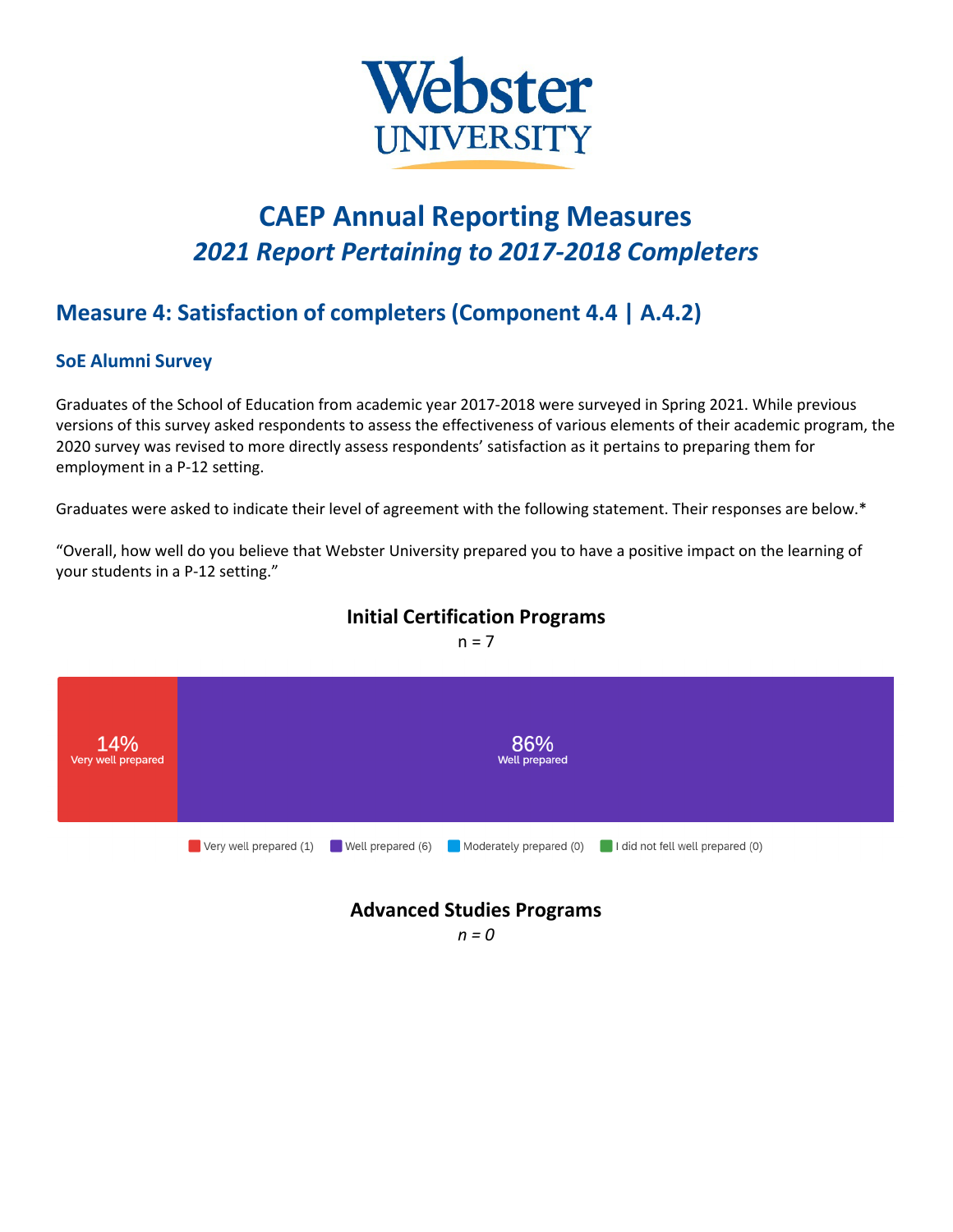

# **CAEP Annual Reporting Measures** *2021 Report Pertaining to 2017-2018 Completers*

## **Measure 4: Satisfaction of completers (Component 4.4 | A.4.2)**

#### **SoE Alumni Survey**

Graduates of the School of Education from academic year 2017-2018 were surveyed in Spring 2021. While previous versions of this survey asked respondents to assess the effectiveness of various elements of their academic program, the 2020 survey was revised to more directly assess respondents' satisfaction as it pertains to preparing them for employment in a P-12 setting.

Graduates were asked to indicate their level of agreement with the following statement. Their responses are below.\*

"Overall, how well do you believe that Webster University prepared you to have a positive impact on the learning of your students in a P-12 setting."



### **Initial Certification Programs**

 $n = 7$ 

*n = 0*